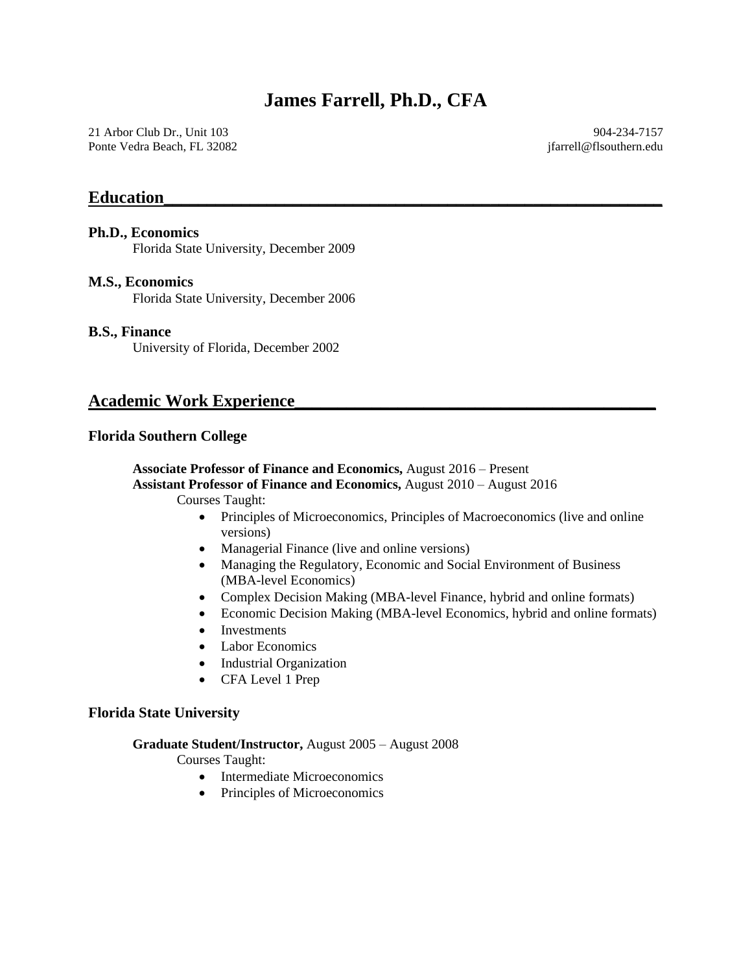21 Arbor Club Dr., Unit 103 Ponte Vedra Beach, FL 32082

904-234-7157 jfarrell@flsouthern.edu

### **Education\_\_\_\_\_\_\_\_\_\_\_\_\_\_\_\_\_\_\_\_\_\_\_\_\_\_\_\_\_\_\_\_\_\_\_\_\_\_\_\_\_\_\_\_\_\_\_\_\_\_\_\_\_\_\_\_\_\_**

#### **Ph.D., Economics**

Florida State University, December 2009

#### **M.S., Economics**

Florida State University, December 2006

#### **B.S., Finance**

University of Florida, December 2002

### **Academic Work Experience\_\_\_\_\_\_\_\_\_\_\_\_\_\_\_\_\_\_\_\_\_\_\_\_\_\_\_\_\_\_\_\_\_\_\_\_\_\_\_\_\_\_**

#### **Florida Southern College**

# **Associate Professor of Finance and Economics,** August 2016 – Present

**Assistant Professor of Finance and Economics,** August 2010 – August 2016

Courses Taught:

- Principles of Microeconomics, Principles of Macroeconomics (live and online versions)
- Managerial Finance (live and online versions)
- Managing the Regulatory, Economic and Social Environment of Business (MBA-level Economics)
- Complex Decision Making (MBA-level Finance, hybrid and online formats)
- Economic Decision Making (MBA-level Economics, hybrid and online formats)
- Investments
- Labor Economics
- Industrial Organization
- CFA Level 1 Prep

#### **Florida State University**

#### **Graduate Student/Instructor,** August 2005 – August 2008

Courses Taught:

- Intermediate Microeconomics
- Principles of Microeconomics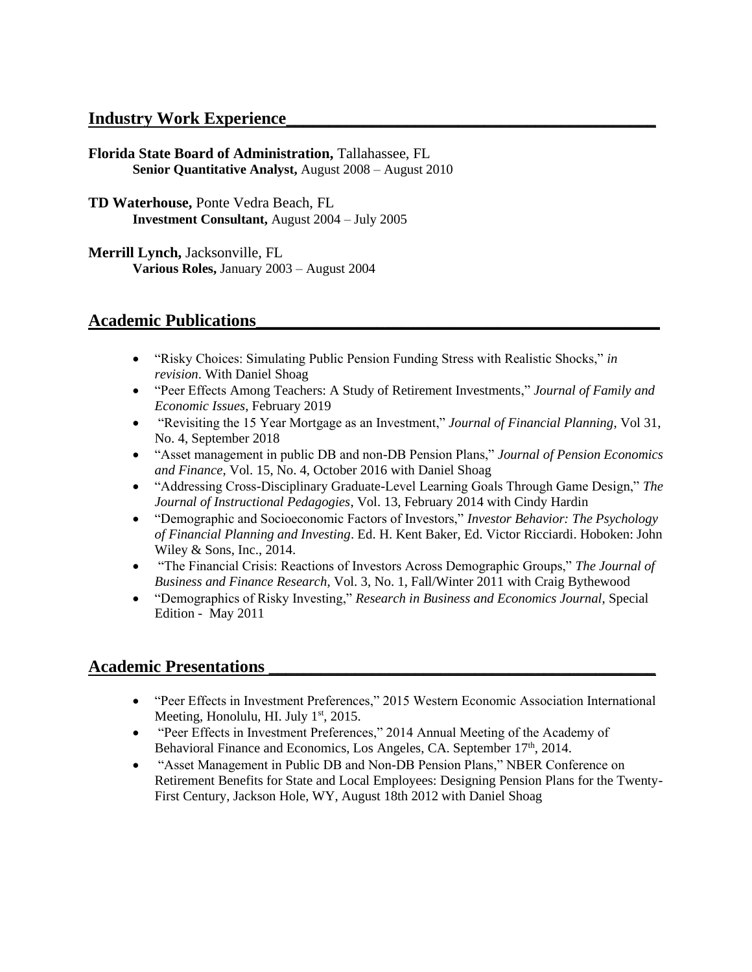## **Industry Work Experience\_\_\_\_\_\_\_\_\_\_\_\_\_\_\_\_\_\_\_\_\_\_\_\_\_\_\_\_\_\_\_\_\_\_\_\_\_\_\_\_\_\_\_**

**Florida State Board of Administration,** Tallahassee, FL **Senior Quantitative Analyst,** August 2008 – August 2010

**TD Waterhouse,** Ponte Vedra Beach, FL **Investment Consultant,** August 2004 – July 2005

**Merrill Lynch,** Jacksonville, FL **Various Roles,** January 2003 – August 2004

## **Academic Publications\_\_\_\_\_\_\_\_\_\_\_\_\_\_\_\_\_\_\_\_\_\_\_\_\_\_\_\_\_\_\_\_\_\_\_\_\_\_\_\_\_\_\_\_\_\_\_**

- "Risky Choices: Simulating Public Pension Funding Stress with Realistic Shocks," *in revision*. With Daniel Shoag
- "Peer Effects Among Teachers: A Study of Retirement Investments," *Journal of Family and Economic Issues*, February 2019
- "Revisiting the 15 Year Mortgage as an Investment," *Journal of Financial Planning*, Vol 31, No. 4, September 2018
- "Asset management in public DB and non-DB Pension Plans," *Journal of Pension Economics and Finance*, Vol. 15, No. 4, October 2016 with Daniel Shoag
- "Addressing Cross-Disciplinary Graduate-Level Learning Goals Through Game Design," *The Journal of Instructional Pedagogies*, Vol. 13, February 2014 with Cindy Hardin
- "Demographic and Socioeconomic Factors of Investors," *Investor Behavior: The Psychology of Financial Planning and Investing*. Ed. H. Kent Baker, Ed. Victor Ricciardi. Hoboken: John Wiley & Sons, Inc., 2014.
- "The Financial Crisis: Reactions of Investors Across Demographic Groups," *The Journal of Business and Finance Research*, Vol. 3, No. 1, Fall/Winter 2011 with Craig Bythewood
- "Demographics of Risky Investing," *Research in Business and Economics Journal*, Special Edition - May 2011

# **Academic Presentations \_\_\_\_\_\_\_\_\_\_\_\_\_\_\_\_\_\_\_\_\_\_\_\_\_\_\_\_\_\_\_\_\_\_\_\_\_\_\_\_\_\_\_\_\_**

- "Peer Effects in Investment Preferences," 2015 Western Economic Association International Meeting, Honolulu, HI. July  $1<sup>st</sup>$ , 2015.
- "Peer Effects in Investment Preferences," 2014 Annual Meeting of the Academy of Behavioral Finance and Economics, Los Angeles, CA. September 17<sup>th</sup>, 2014.
- "Asset Management in Public DB and Non-DB Pension Plans," NBER Conference on Retirement Benefits for State and Local Employees: Designing Pension Plans for the Twenty-First Century, Jackson Hole, WY, August 18th 2012 with Daniel Shoag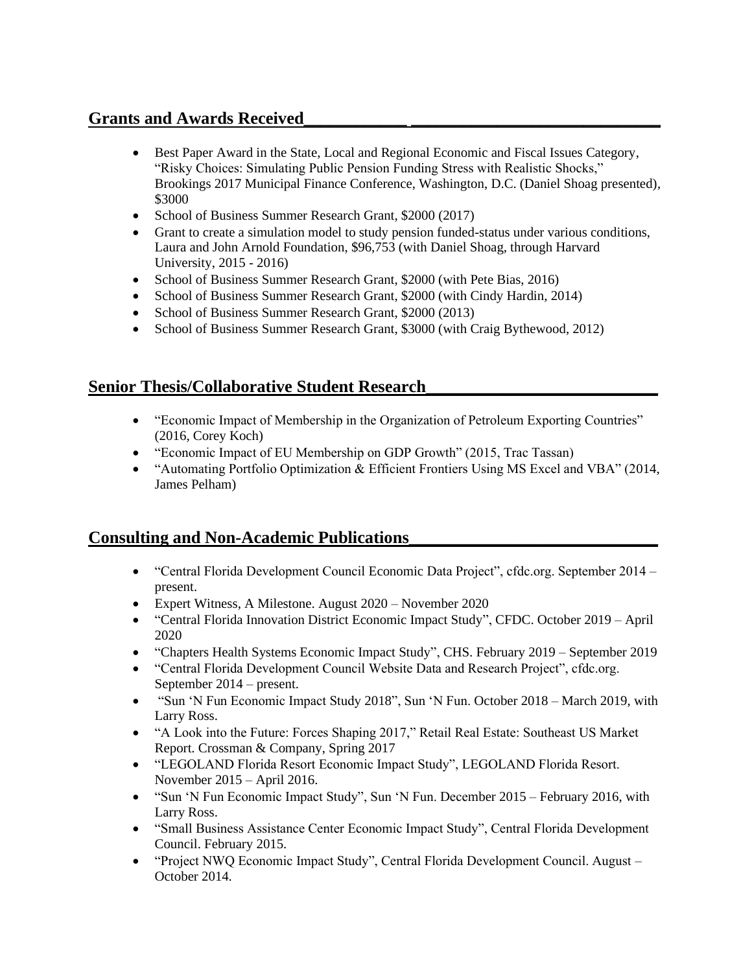# **Grants and Awards Received\_\_\_\_\_\_\_\_\_\_\_\_ \_\_\_\_\_\_\_\_\_\_\_\_\_\_\_\_\_\_\_\_\_\_\_\_\_\_\_\_\_**

- Best Paper Award in the State, Local and Regional Economic and Fiscal Issues Category, "Risky Choices: Simulating Public Pension Funding Stress with Realistic Shocks," Brookings 2017 Municipal Finance Conference, Washington, D.C. (Daniel Shoag presented), \$3000
- School of Business Summer Research Grant, \$2000 (2017)
- Grant to create a simulation model to study pension funded-status under various conditions, Laura and John Arnold Foundation, \$96,753 (with Daniel Shoag, through Harvard University, 2015 - 2016)
- School of Business Summer Research Grant, \$2000 (with Pete Bias, 2016)
- School of Business Summer Research Grant, \$2000 (with Cindy Hardin, 2014)
- School of Business Summer Research Grant, \$2000 (2013)
- School of Business Summer Research Grant, \$3000 (with Craig Bythewood, 2012)

# **Senior Thesis/Collaborative Student Research\_\_\_\_\_\_\_\_\_\_\_\_\_\_\_\_\_\_\_\_\_\_\_\_\_\_\_**

- "Economic Impact of Membership in the Organization of Petroleum Exporting Countries" (2016, Corey Koch)
- "Economic Impact of EU Membership on GDP Growth" (2015, Trac Tassan)
- "Automating Portfolio Optimization & Efficient Frontiers Using MS Excel and VBA" (2014, James Pelham)

# **Consulting and Non-Academic Publications\_\_\_\_\_\_\_\_\_\_\_\_\_\_\_\_\_\_\_\_\_\_\_\_\_\_\_\_\_**

- "Central Florida Development Council Economic Data Project", cfdc.org. September 2014 present.
- Expert Witness, A Milestone. August 2020 November 2020
- "Central Florida Innovation District Economic Impact Study", CFDC. October 2019 April 2020
- "Chapters Health Systems Economic Impact Study", CHS. February 2019 September 2019
- "Central Florida Development Council Website Data and Research Project", cfdc.org. September 2014 – present.
- "Sun 'N Fun Economic Impact Study 2018", Sun 'N Fun. October 2018 March 2019, with Larry Ross.
- "A Look into the Future: Forces Shaping 2017," Retail Real Estate: Southeast US Market Report. Crossman & Company, Spring 2017
- "LEGOLAND Florida Resort Economic Impact Study", LEGOLAND Florida Resort. November 2015 – April 2016.
- "Sun 'N Fun Economic Impact Study", Sun 'N Fun. December 2015 February 2016, with Larry Ross.
- "Small Business Assistance Center Economic Impact Study", Central Florida Development Council. February 2015.
- "Project NWQ Economic Impact Study", Central Florida Development Council. August October 2014.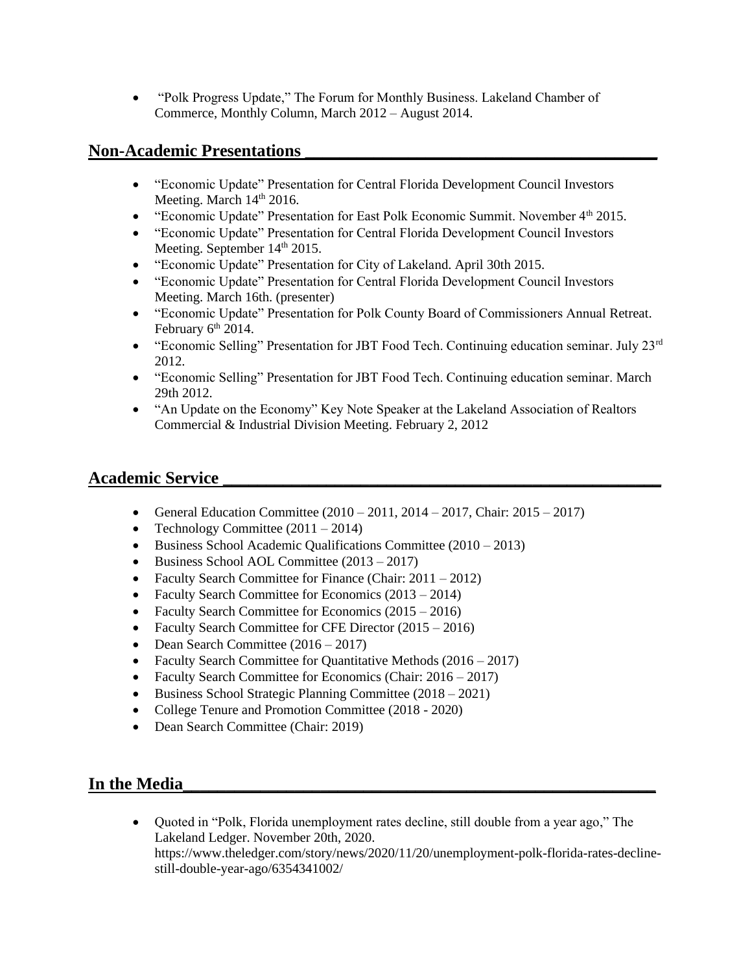• "Polk Progress Update," The Forum for Monthly Business. Lakeland Chamber of Commerce, Monthly Column, March 2012 – August 2014.

# **Non-Academic Presentations \_\_\_\_\_\_\_\_\_\_\_\_\_\_\_\_\_\_\_\_\_\_\_\_\_\_\_\_\_\_\_\_\_\_\_\_\_\_\_\_\_**

- "Economic Update" Presentation for Central Florida Development Council Investors Meeting. March  $14<sup>th</sup> 2016$ .
- "Economic Update" Presentation for East Polk Economic Summit. November 4<sup>th</sup> 2015.
- "Economic Update" Presentation for Central Florida Development Council Investors Meeting. September 14<sup>th</sup> 2015.
- "Economic Update" Presentation for City of Lakeland. April 30th 2015.
- "Economic Update" Presentation for Central Florida Development Council Investors Meeting. March 16th. (presenter)
- "Economic Update" Presentation for Polk County Board of Commissioners Annual Retreat. February  $6<sup>th</sup> 2014$ .
- "Economic Selling" Presentation for JBT Food Tech. Continuing education seminar. July  $23<sup>rd</sup>$ 2012.
- "Economic Selling" Presentation for JBT Food Tech. Continuing education seminar. March 29th 2012.
- "An Update on the Economy" Key Note Speaker at the Lakeland Association of Realtors Commercial & Industrial Division Meeting. February 2, 2012

# **Academic Service \_\_\_\_\_\_\_\_\_\_\_\_\_\_\_\_\_\_\_\_\_\_\_\_\_\_\_\_\_\_\_\_\_\_\_\_\_\_\_\_\_\_\_\_\_\_\_\_\_\_\_**

- General Education Committee  $(2010 2011, 2014 2017,$  Chair:  $2015 2017)$
- Technology Committee  $(2011 2014)$
- Business School Academic Qualifications Committee (2010 2013)
- Business School AOL Committee (2013 2017)
- Faculty Search Committee for Finance (Chair: 2011 2012)
- Faculty Search Committee for Economics (2013 2014)
- Faculty Search Committee for Economics (2015 2016)
- Faculty Search Committee for CFE Director (2015 2016)
- Dean Search Committee (2016 2017)
- Faculty Search Committee for Quantitative Methods (2016 2017)
- Faculty Search Committee for Economics (Chair: 2016 2017)
- Business School Strategic Planning Committee (2018 2021)
- College Tenure and Promotion Committee (2018 2020)
- Dean Search Committee (Chair: 2019)

# In the Media

• Quoted in "Polk, Florida unemployment rates decline, still double from a year ago," The Lakeland Ledger. November 20th, 2020. https://www.theledger.com/story/news/2020/11/20/unemployment-polk-florida-rates-declinestill-double-year-ago/6354341002/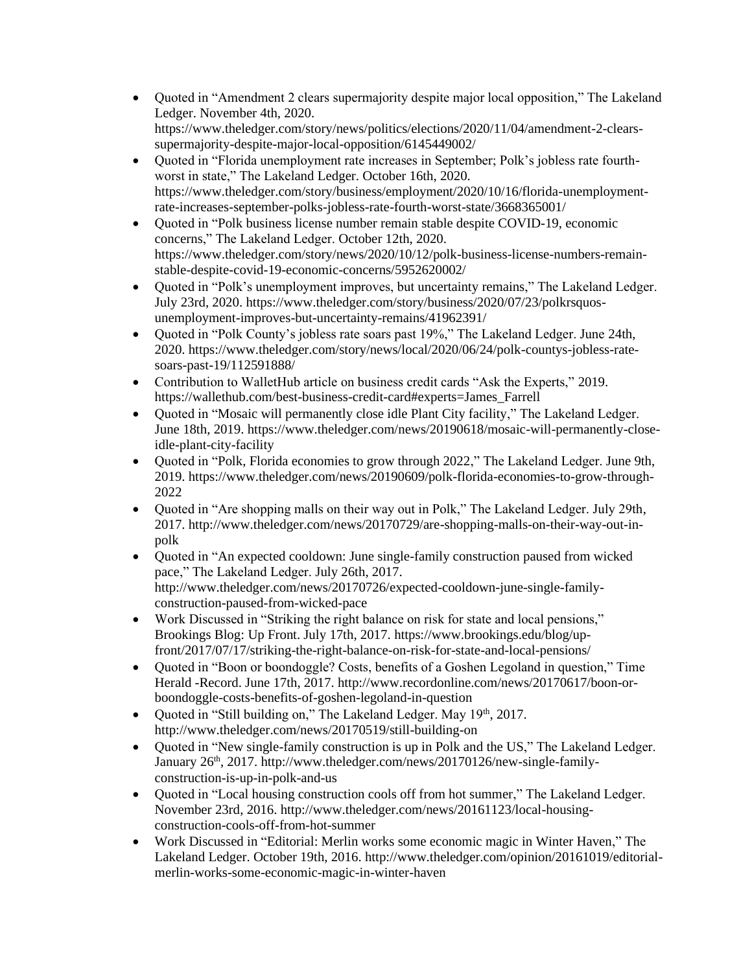- Quoted in "Amendment 2 clears supermajority despite major local opposition," The Lakeland Ledger. November 4th, 2020. https://www.theledger.com/story/news/politics/elections/2020/11/04/amendment-2-clearssupermajority-despite-major-local-opposition/6145449002/
- Quoted in "Florida unemployment rate increases in September; Polk's jobless rate fourthworst in state," The Lakeland Ledger. October 16th, 2020. https://www.theledger.com/story/business/employment/2020/10/16/florida-unemploymentrate-increases-september-polks-jobless-rate-fourth-worst-state/3668365001/
- Quoted in "Polk business license number remain stable despite COVID-19, economic concerns," The Lakeland Ledger. October 12th, 2020. https://www.theledger.com/story/news/2020/10/12/polk-business-license-numbers-remainstable-despite-covid-19-economic-concerns/5952620002/
- Quoted in "Polk's unemployment improves, but uncertainty remains," The Lakeland Ledger. July 23rd, 2020. https://www.theledger.com/story/business/2020/07/23/polkrsquosunemployment-improves-but-uncertainty-remains/41962391/
- Quoted in "Polk County's jobless rate soars past 19%," The Lakeland Ledger. June 24th, 2020. https://www.theledger.com/story/news/local/2020/06/24/polk-countys-jobless-ratesoars-past-19/112591888/
- Contribution to WalletHub article on business credit cards "Ask the Experts," 2019. https://wallethub.com/best-business-credit-card#experts=James\_Farrell
- Quoted in "Mosaic will permanently close idle Plant City facility," The Lakeland Ledger. June 18th, 2019. https://www.theledger.com/news/20190618/mosaic-will-permanently-closeidle-plant-city-facility
- Quoted in "Polk, Florida economies to grow through 2022," The Lakeland Ledger. June 9th, 2019. https://www.theledger.com/news/20190609/polk-florida-economies-to-grow-through-2022
- Quoted in "Are shopping malls on their way out in Polk," The Lakeland Ledger. July 29th, 2017. http://www.theledger.com/news/20170729/are-shopping-malls-on-their-way-out-inpolk
- Ouoted in "An expected cooldown: June single-family construction paused from wicked pace," The Lakeland Ledger. July 26th, 2017. http://www.theledger.com/news/20170726/expected-cooldown-june-single-familyconstruction-paused-from-wicked-pace
- Work Discussed in "Striking the right balance on risk for state and local pensions," Brookings Blog: Up Front. July 17th, 2017. https://www.brookings.edu/blog/upfront/2017/07/17/striking-the-right-balance-on-risk-for-state-and-local-pensions/
- Quoted in "Boon or boondoggle? Costs, benefits of a Goshen Legoland in question," Time Herald -Record. June 17th, 2017. http://www.recordonline.com/news/20170617/boon-orboondoggle-costs-benefits-of-goshen-legoland-in-question
- Quoted in "Still building on," The Lakeland Ledger. May 19th, 2017. http://www.theledger.com/news/20170519/still-building-on
- Quoted in "New single-family construction is up in Polk and the US," The Lakeland Ledger. January 26<sup>th</sup>, 2017. http://www.theledger.com/news/20170126/new-single-familyconstruction-is-up-in-polk-and-us
- Quoted in "Local housing construction cools off from hot summer," The Lakeland Ledger. November 23rd, 2016. http://www.theledger.com/news/20161123/local-housingconstruction-cools-off-from-hot-summer
- Work Discussed in "Editorial: Merlin works some economic magic in Winter Haven," The Lakeland Ledger. October 19th, 2016. http://www.theledger.com/opinion/20161019/editorialmerlin-works-some-economic-magic-in-winter-haven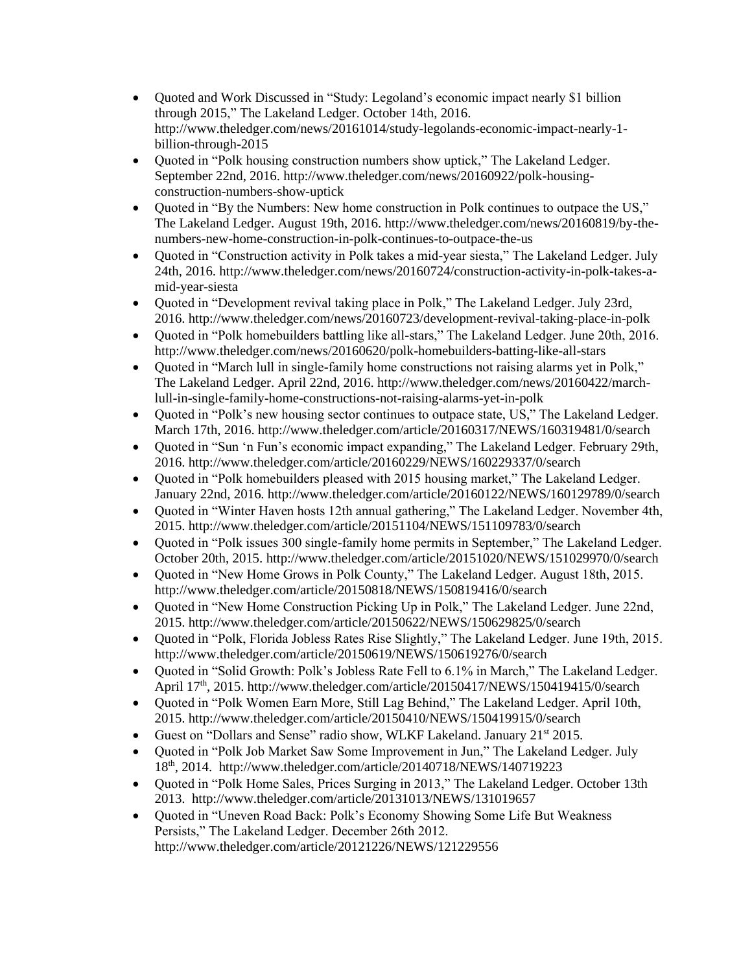- Quoted and Work Discussed in "Study: Legoland's economic impact nearly \$1 billion through 2015," The Lakeland Ledger. October 14th, 2016. http://www.theledger.com/news/20161014/study-legolands-economic-impact-nearly-1 billion-through-2015
- Quoted in "Polk housing construction numbers show uptick," The Lakeland Ledger. September 22nd, 2016. http://www.theledger.com/news/20160922/polk-housingconstruction-numbers-show-uptick
- Quoted in "By the Numbers: New home construction in Polk continues to outpace the US," The Lakeland Ledger. August 19th, 2016. http://www.theledger.com/news/20160819/by-thenumbers-new-home-construction-in-polk-continues-to-outpace-the-us
- Quoted in "Construction activity in Polk takes a mid-year siesta," The Lakeland Ledger. July 24th, 2016. http://www.theledger.com/news/20160724/construction-activity-in-polk-takes-amid-year-siesta
- Quoted in "Development revival taking place in Polk," The Lakeland Ledger. July 23rd, 2016. http://www.theledger.com/news/20160723/development-revival-taking-place-in-polk
- Quoted in "Polk homebuilders battling like all-stars," The Lakeland Ledger. June 20th, 2016. http://www.theledger.com/news/20160620/polk-homebuilders-batting-like-all-stars
- Quoted in "March lull in single-family home constructions not raising alarms yet in Polk," The Lakeland Ledger. April 22nd, 2016. http://www.theledger.com/news/20160422/marchlull-in-single-family-home-constructions-not-raising-alarms-yet-in-polk
- Quoted in "Polk's new housing sector continues to outpace state, US," The Lakeland Ledger. March 17th, 2016. http://www.theledger.com/article/20160317/NEWS/160319481/0/search
- Quoted in "Sun 'n Fun's economic impact expanding," The Lakeland Ledger. February 29th, 2016. http://www.theledger.com/article/20160229/NEWS/160229337/0/search
- Quoted in "Polk homebuilders pleased with 2015 housing market," The Lakeland Ledger. January 22nd, 2016. http://www.theledger.com/article/20160122/NEWS/160129789/0/search
- Quoted in "Winter Haven hosts 12th annual gathering," The Lakeland Ledger. November 4th, 2015.<http://www.theledger.com/article/20151104/NEWS/151109783/0/search>
- Quoted in "Polk issues 300 single-family home permits in September," The Lakeland Ledger. October 20th, 2015[. http://www.theledger.com/article/20151020/NEWS/151029970/0/search](http://www.theledger.com/article/20151020/NEWS/151029970/0/search)
- Quoted in "New Home Grows in Polk County," The Lakeland Ledger. August 18th, 2015. <http://www.theledger.com/article/20150818/NEWS/150819416/0/search>
- Quoted in "New Home Construction Picking Up in Polk," The Lakeland Ledger. June 22nd, 2015. http://www.theledger.com/article/20150622/NEWS/150629825/0/search
- Quoted in "Polk, Florida Jobless Rates Rise Slightly," The Lakeland Ledger. June 19th, 2015. http://www.theledger.com/article/20150619/NEWS/150619276/0/search
- Ouoted in "Solid Growth: Polk's Jobless Rate Fell to 6.1% in March," The Lakeland Ledger. April 17<sup>th</sup>, 2015. http://www.theledger.com/article/20150417/NEWS/150419415/0/search
- Quoted in "Polk Women Earn More, Still Lag Behind," The Lakeland Ledger. April 10th, 2015. http://www.theledger.com/article/20150410/NEWS/150419915/0/search
- Guest on "Dollars and Sense" radio show, WLKF Lakeland. January 21<sup>st</sup> 2015.
- Quoted in "Polk Job Market Saw Some Improvement in Jun," The Lakeland Ledger. July 18th, 2014. http://www.theledger.com/article/20140718/NEWS/140719223
- Quoted in "Polk Home Sales, Prices Surging in 2013," The Lakeland Ledger. October 13th 2013. http://www.theledger.com/article/20131013/NEWS/131019657
- Quoted in "Uneven Road Back: Polk's Economy Showing Some Life But Weakness Persists," The Lakeland Ledger. December 26th 2012. <http://www.theledger.com/article/20121226/NEWS/121229556>